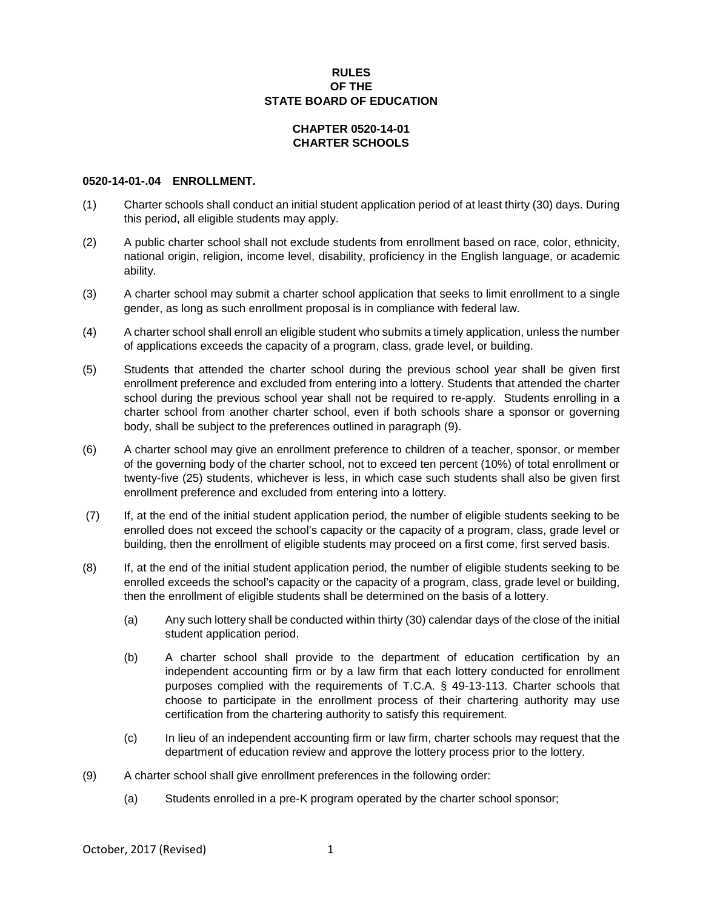## **RULES OF THE STATE BOARD OF EDUCATION**

## **CHAPTER 0520-14-01 CHARTER SCHOOLS**

## **0520-14-01-.04 ENROLLMENT.**

- (1) Charter schools shall conduct an initial student application period of at least thirty (30) days. During this period, all eligible students may apply.
- (2) A public charter school shall not exclude students from enrollment based on race, color, ethnicity, national origin, religion, income level, disability, proficiency in the English language, or academic ability.
- (3) A charter school may submit a charter school application that seeks to limit enrollment to a single gender, as long as such enrollment proposal is in compliance with federal law.
- (4) A charter school shall enroll an eligible student who submits a timely application, unless the number of applications exceeds the capacity of a program, class, grade level, or building.
- (5) Students that attended the charter school during the previous school year shall be given first enrollment preference and excluded from entering into a lottery. Students that attended the charter school during the previous school year shall not be required to re-apply. Students enrolling in a charter school from another charter school, even if both schools share a sponsor or governing body, shall be subject to the preferences outlined in paragraph (9).
- (6) A charter school may give an enrollment preference to children of a teacher, sponsor, or member of the governing body of the charter school, not to exceed ten percent (10%) of total enrollment or twenty-five (25) students, whichever is less, in which case such students shall also be given first enrollment preference and excluded from entering into a lottery.
- (7) If, at the end of the initial student application period, the number of eligible students seeking to be enrolled does not exceed the school's capacity or the capacity of a program, class, grade level or building, then the enrollment of eligible students may proceed on a first come, first served basis.
- (8) If, at the end of the initial student application period, the number of eligible students seeking to be enrolled exceeds the school's capacity or the capacity of a program, class, grade level or building, then the enrollment of eligible students shall be determined on the basis of a lottery.
	- (a) Any such lottery shall be conducted within thirty (30) calendar days of the close of the initial student application period.
	- (b) A charter school shall provide to the department of education certification by an independent accounting firm or by a law firm that each lottery conducted for enrollment purposes complied with the requirements of T.C.A. § 49-13-113. Charter schools that choose to participate in the enrollment process of their chartering authority may use certification from the chartering authority to satisfy this requirement.
	- (c) In lieu of an independent accounting firm or law firm, charter schools may request that the department of education review and approve the lottery process prior to the lottery.
- (9) A charter school shall give enrollment preferences in the following order:
	- (a) Students enrolled in a pre-K program operated by the charter school sponsor;